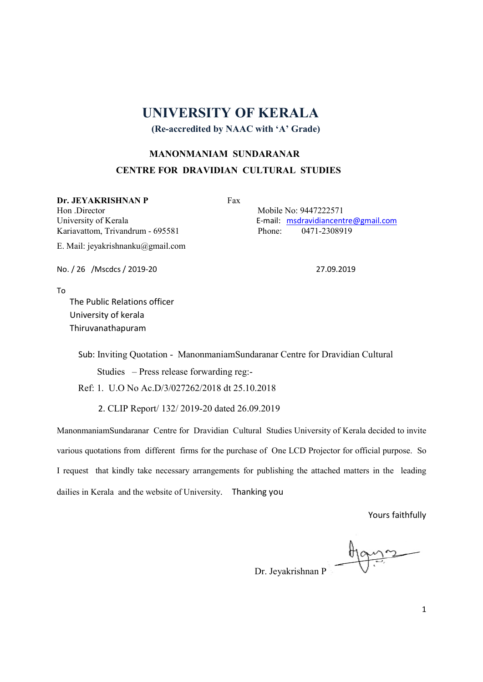## UNIVERSITY OF KERALA

(Re-accredited by NAAC with 'A' Grade)

## MANONMANIAM SUNDARANAR CENTRE FOR DRAVIDIAN CULTURAL STUDIES

Dr. JEYAKRISHNAN P Fax

Hon .Director Mobile No: 9447222571 Kariavattom, Trivandrum - 695581 Phone: 0471-2308919

E. Mail: jeyakrishnanku@gmail.com

University of Kerala **E-mail:** msdravidiancentre@gmail.com

No. / 26 /Mscdcs / 2019-20 27.09.2019

To

 The Public Relations officer University of kerala Thiruvanathapuram

Sub: Inviting Quotation - ManonmaniamSundaranar Centre for Dravidian Cultural

Studies – Press release forwarding reg:-

Ref: 1. U.O No Ac.D/3/027262/2018 dt 25.10.2018

2. CLIP Report/ 132/ 2019-20 dated 26.09.2019

ManonmaniamSundaranar Centre for Dravidian Cultural Studies University of Kerala decided to invite various quotations from different firms for the purchase of One LCD Projector for official purpose. So I request that kindly take necessary arrangements for publishing the attached matters in the leading dailies in Kerala and the website of University. Thanking you

Yours faithfully

Dr. Jeyakrishnan P